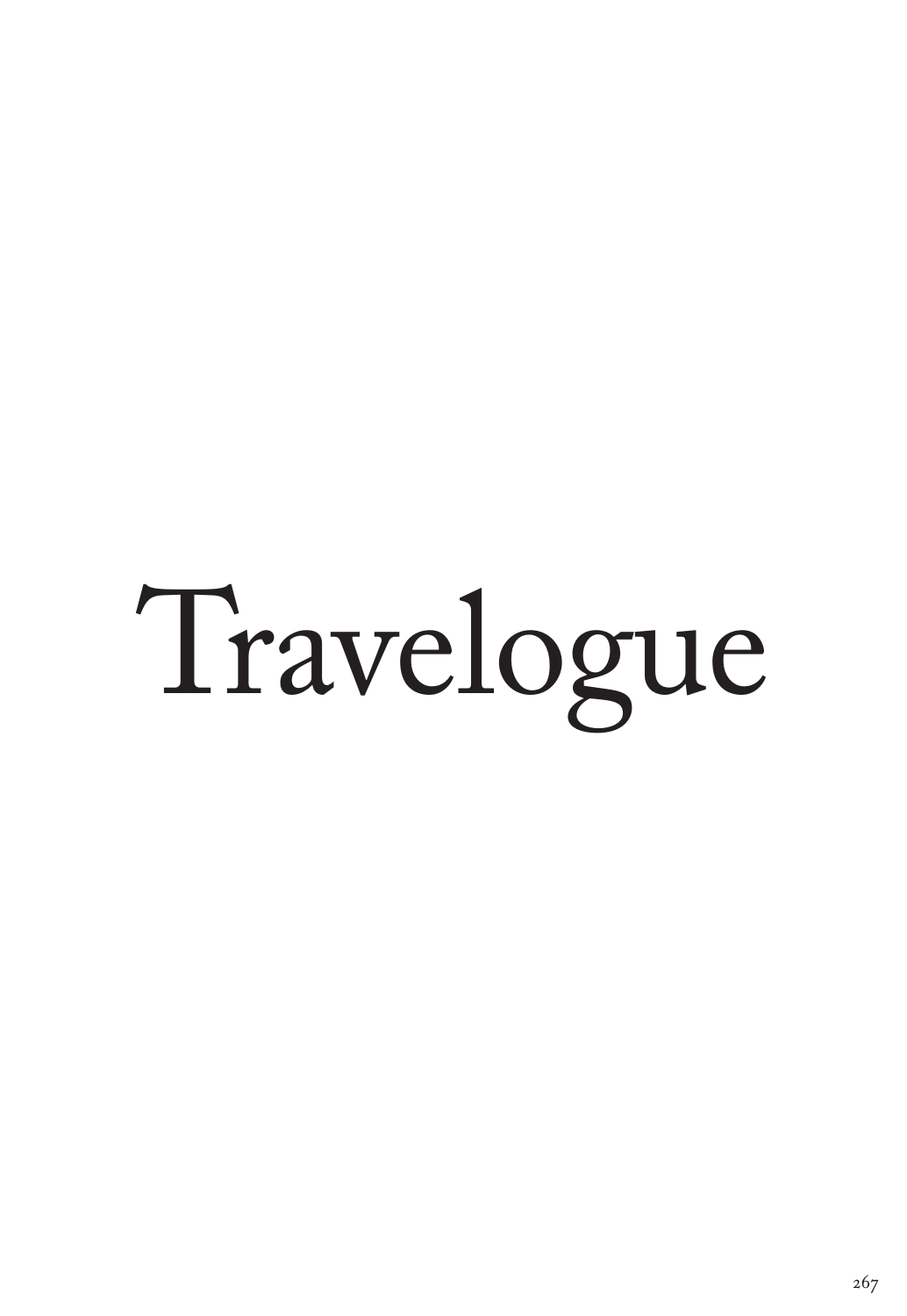# Travelogue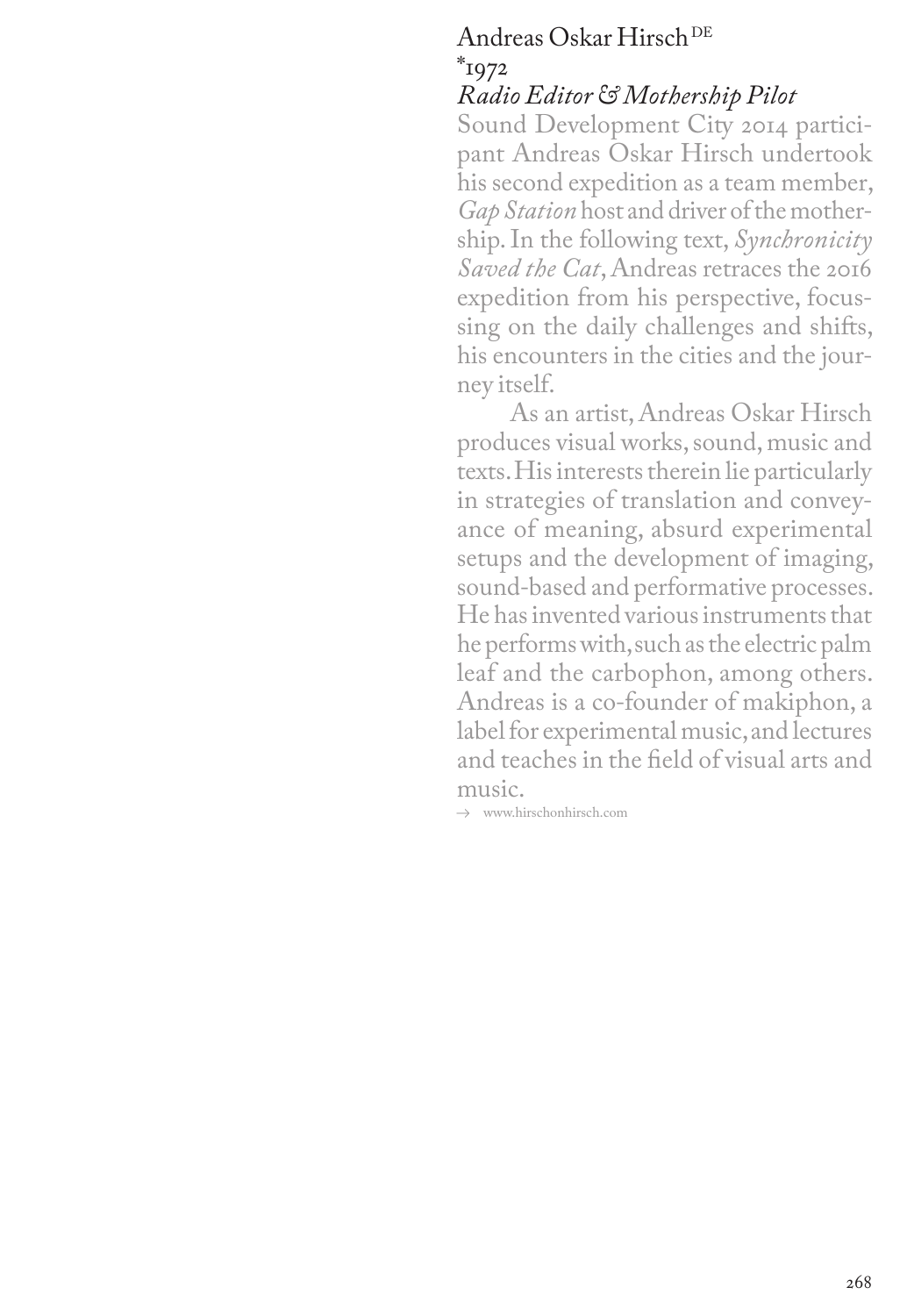# Andreas Oskar Hirsch DE  $*_{1972}$

## *Radio Editor&Mothership Pilot*

Sound Development City 2014 participant Andreas Oskar Hirsch undertook his second expedition as a team member, *Gap Station* host and driver of the mothership. In the following text, *Synchronicity Saved the Cat*, Andreas retraces the 2016 expedition from his perspective, focussing on the daily challenges and shifts, his encounters in the cities and the journey itself.

As an artist, Andreas Oskar Hirsch produces visual works, sound, music and texts. His interests therein lie particularly in strategies of translation and conveyance of meaning, absurd experimental setups and the development of imaging, sound-based and performative processes. He has invented various instruments that he performs with, such as the electric palm leaf and the carbophon, among others. Andreas is a co-founder of makiphon, a label for experimental music, and lectures and teaches in the field of visual arts and music.

 $\rightarrow$  www.hirschonhirsch.com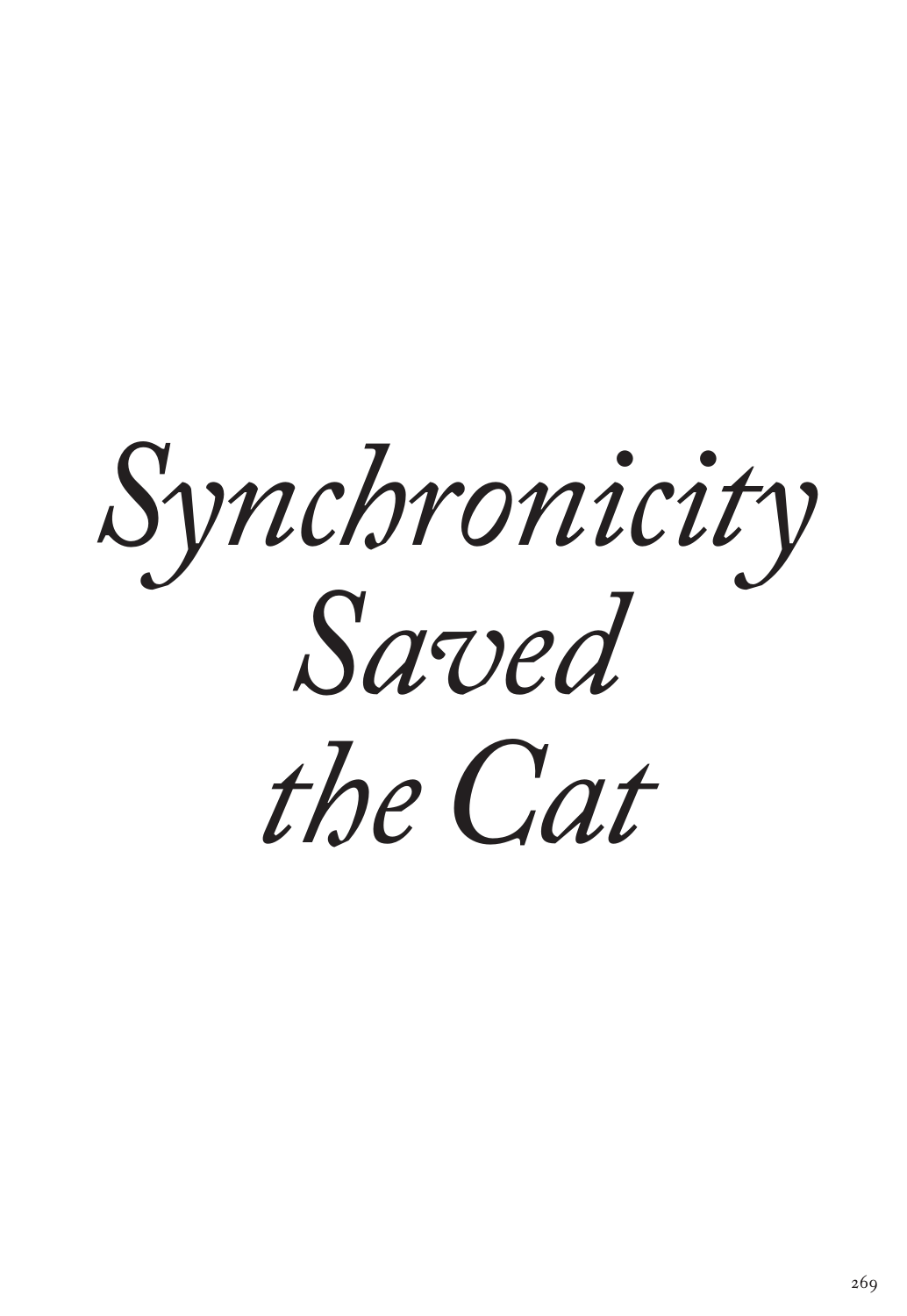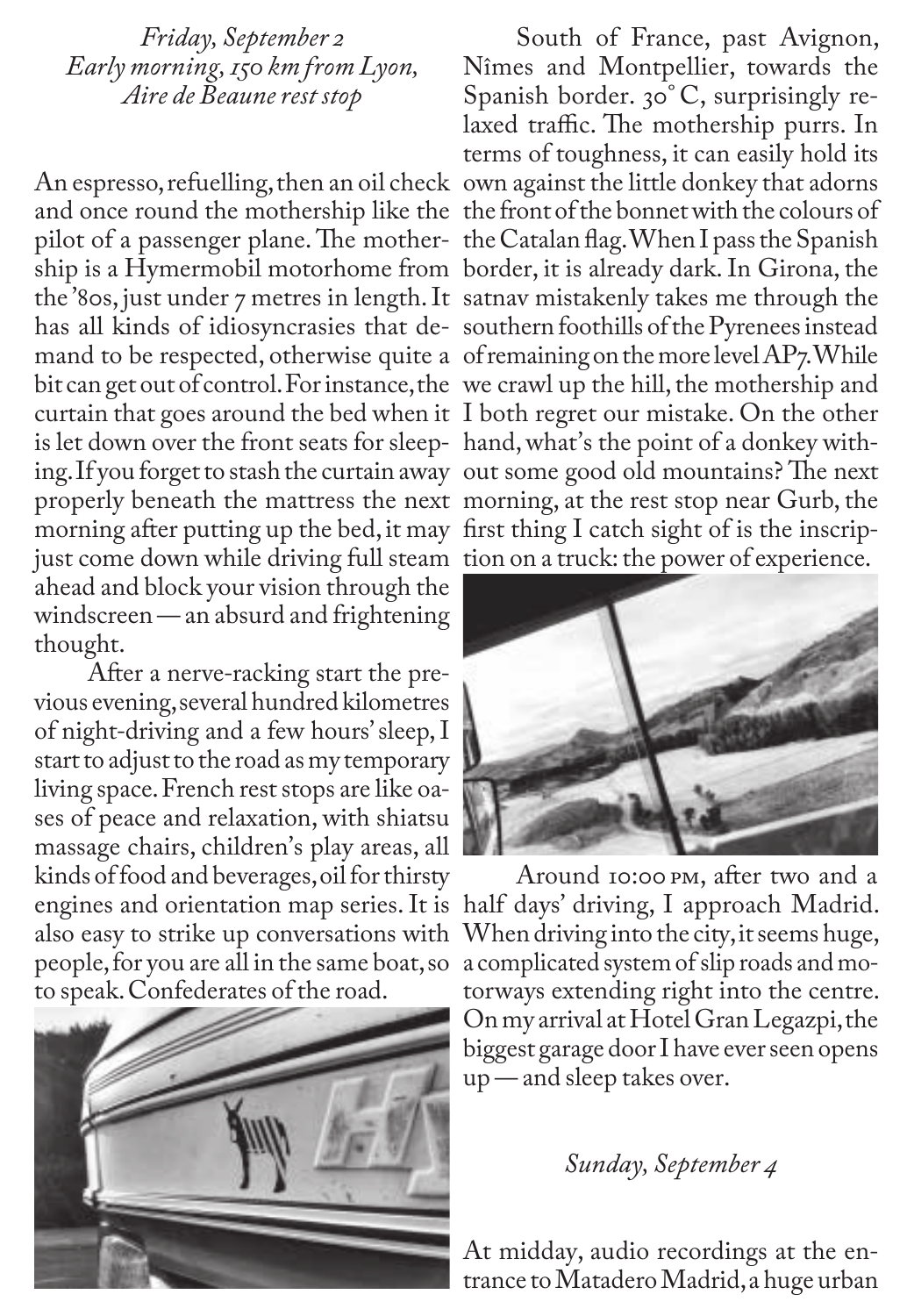*Friday, September 2 Early morning, 150 km from Lyon, Aire de Beaune rest stop*

An espresso, refuelling, then an oil check own against the little donkey that adorns and once round the mothership like the the front of the bonnet with the colours of the '80s, just under 7 metres in length. It satnav mistakenly takes me through the bit can get out of control. For instance, the we crawl up the hill, the mothership and curtain that goes around the bed when it I both regret our mistake. On the other is let down over the front seats for sleep-hand, what's the point of a donkey withing. If you forget to stash the curtain away out some good old mountains? The next morning after putting up the bed, it may first thing I catch sight of is the inscripjust come down while driving full steam tion on a truck: the power of experience. ahead and block your vision through the windscreen — an absurd and frightening thought.

After a nerve-racking start the previous evening, several hundred kilometres of night-driving and a few hours' sleep, I start to adjust to the road as my temporary living space. French rest stops are like oases of peace and relaxation, with shiatsu massage chairs, children's play areas, all kinds of food and beverages, oil for thirsty engines and orientation map series. It is half days' driving, I approach Madrid. also easy to strike up conversations with people, for you are all in the same boat, so to speak. Confederates of the road.



pilot of a passenger plane. The mother-the Catalan flag. When I pass the Spanish ship is a Hymermobil motorhome from border, it is already dark. In Girona, the has all kinds of idiosyncrasies that de-southern foothills of the Pyrenees instead mand to be respected, otherwise quite a of remaining on the more level AP7. While properly beneath the mattress the next morning, at the rest stop near Gurb, the South of France, past Avignon, Nîmes and Montpellier, towards the Spanish border. 30° C, surprisingly relaxed traffic. The mothership purrs. In terms of toughness, it can easily hold its



Around 10:00 pm, after two and a When driving into the city, it seems huge, a complicated system of slip roads and motorways extending right into the centre. On my arrival at Hotel Gran Legazpi, the biggest garage door I have ever seen opens up — and sleep takes over.

## *Sunday, September 4*

At midday, audio recordings at the entrance to Matadero Madrid, a huge urban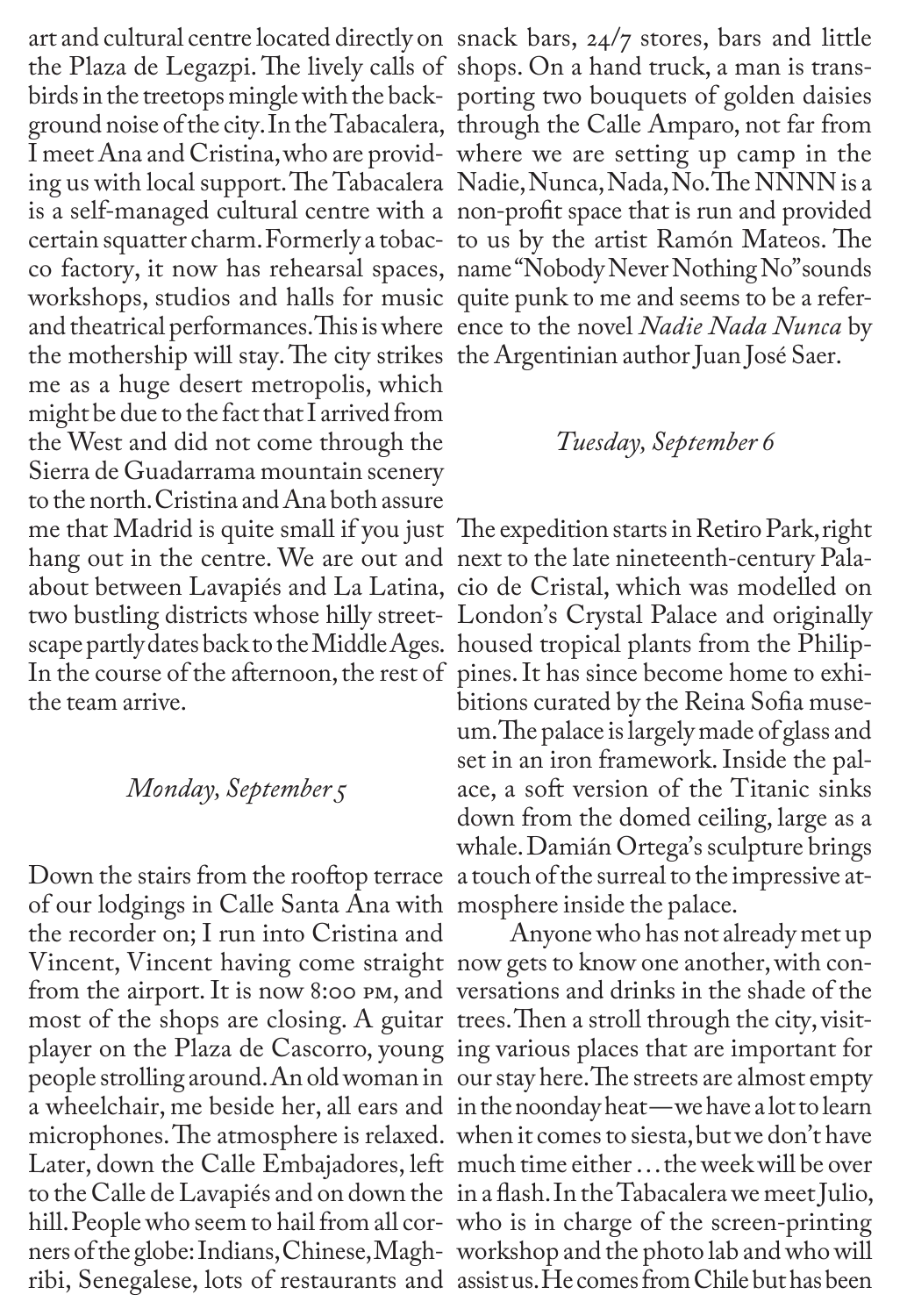art and cultural centre located directly on snack bars, 24/7 stores, bars and little the Plaza de Legazpi. The lively calls of shops. On a hand truck, a man is transis a self-managed cultural centre with a non-profit space that is run and provided workshops, studios and halls for music quite punk to me and seems to be a referthe mothership will stay. The city strikes the Argentinian author Juan José Saer. me as a huge desert metropolis, which might be due to the fact that I arrived from the West and did not come through the Sierra de Guadarrama mountain scenery to the north. Cristina and Ana both assure me that Madrid is quite small if you just The expedition starts in Retiro Park, right hang out in the centre. We are out and next to the late nineteenth-century Palaabout between Lavapiés and La Latina, cio de Cristal, which was modelled on two bustling districts whose hilly street-London's Crystal Palace and originally scape partly dates back to the Middle Ages. housed tropical plants from the Philip-In the course of the afternoon, the rest of pines.It has since become home to exhithe team arrive.

## *Monday, September 5*

Down the stairs from the rooftop terrace a touch of the surreal to the impressive atof our lodgings in Calle Santa Ana with mosphere inside the palace. the recorder on; I run into Cristina and Vincent, Vincent having come straight now gets to know one another, with confrom the airport. It is now 8:00 pm, and versations and drinks in the shade of the most of the shops are closing. A guitar trees. Then a stroll through the city, visitplayer on the Plaza de Cascorro, young ing various places that are important for people strolling around.An old woman in our stay here. The streets are almost empty Later, down the Calle Embajadores, left much time either … the week will be over ners of the globe: Indians, Chinese, Magh-workshop and the photo lab and who will

birds in the treetops mingle with the back-porting two bouquets of golden daisies ground noise of the city. In the Tabacalera, through the Calle Amparo, not far from I meet Ana and Cristina, who are provid-where we are setting up camp in the ing us with local support. The Tabacalera Nadie, Nunca, Nada, No. The NNNN is a certain squatter charm. Formerly a tobac-to us by the artist Ramón Mateos. The co factory, it now has rehearsal spaces, name "Nobody Never Nothing No" sounds and theatrical performances. This is where ence to the novel *Nadie Nada Nunca* by

#### *Tuesday, September 6*

bitions curated by the Reina Sofia museum. The palace is largely made of glass and set in an iron framework.Inside the palace, a soft version of the Titanic sinks down from the domed ceiling, large as a whale. Damián Ortega's sculpture brings

a wheelchair, me beside her, all ears and in the noonday heat — we have a lot to learn microphones. The atmosphere is relaxed. when it comes to siesta, but we don't have to the Calle de Lavapiés and on down the in a flash. In the Tabacalera we meet Julio, hill. People who seem to hail from all cor-who is in charge of the screen-printing ribi, Senegalese, lots of restaurants and assist us. He comes from Chile but has been Anyone who has not already met up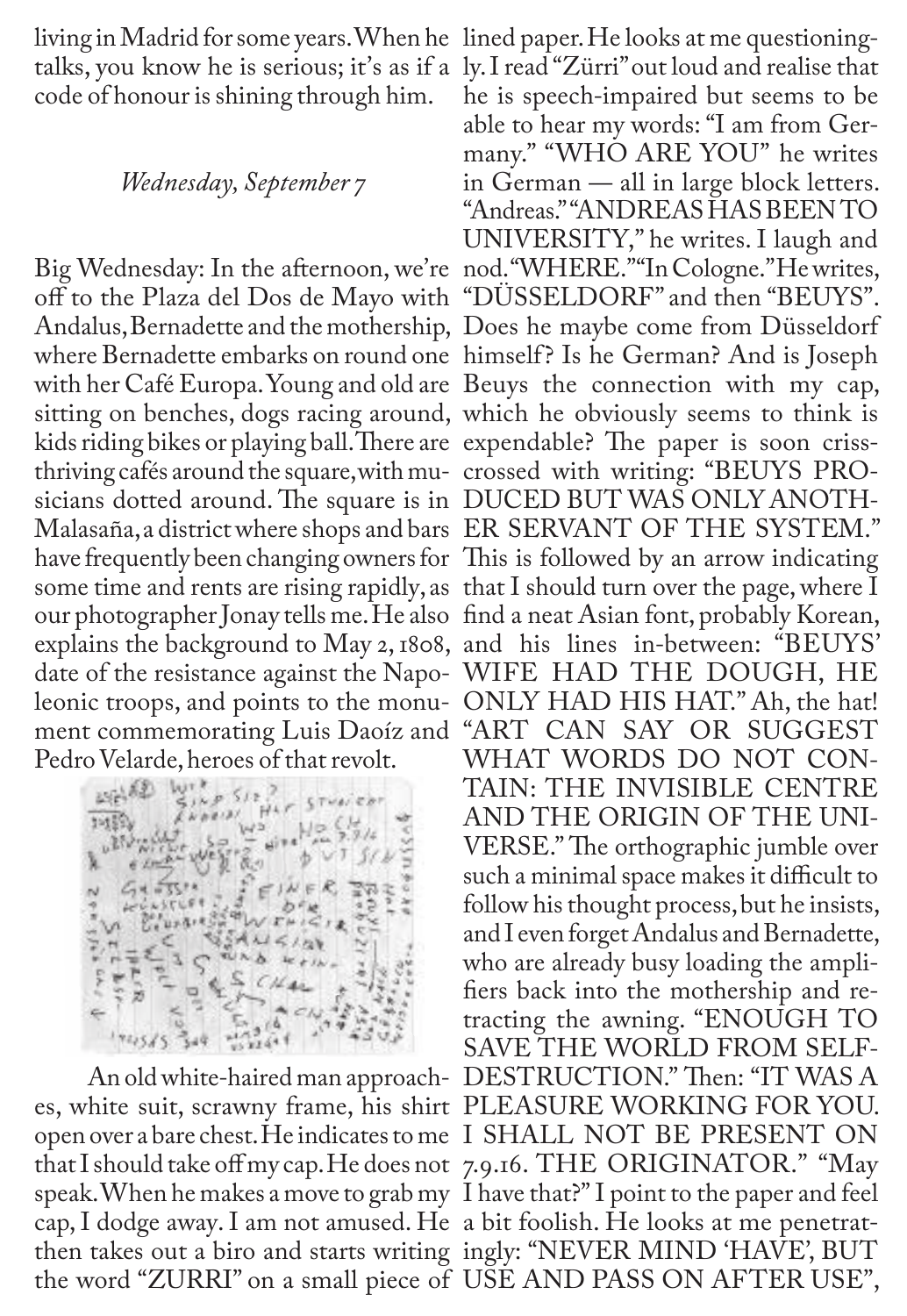living in Madrid for some years. When he lined paper. He looks at me questioningcode of honour is shining through him.

#### *Wednesday, September 7*

kids riding bikes or playing ball. There are expendable? The paper is soon crissthriving cafés around the square, with mu-crossed with writing: "BEUYS PROsicians dotted around. The square is in DUCED BUT WAS ONLY ANOTHsome time and rents are rising rapidly, as that I should turn over the page, where I Pedro Velarde, heroes of that revolt.

will y

talks, you know he is serious; it's as if a ly. I read "Zürri" out loud and realise that Big Wednesday: In the afternoon, we're nod. "WHERE." "In Cologne." He writes, off to the Plaza del Dos de Mayo with "DÜSSELDORF" and then "BEUYS". Andalus, Bernadette and the mothership, Does he maybe come from Düsseldorf where Bernadette embarks on round one himself? Is he German? And is Joseph with her Café Europa. Young and old are Beuys the connection with my cap, sitting on benches, dogs racing around, which he obviously seems to think is Malasaña, a district where shops and bars ER SERVANT OF THE SYSTEM." have frequently been changing owners for This is followed by an arrow indicating our photographer Jonay tells me. He also find a neat Asian font, probably Korean, explains the background to May 2, 1808, and his lines in-between: "BEUYS' date of the resistance against the Napo-WIFE HAD THE DOUGH, HE leonic troops, and points to the monu-ONLY HAD HIS HAT." Ah, the hat! ment commemorating Luis Daoíz and "ART CAN SAY OR SUGGEST An old white-haired man approach-DESTRUCTION." Then: "IT WAS A es, white suit, scrawny frame, his shirt PLEASURE WORKING FOR YOU. open over a bare chest. He indicates to me I SHALL NOT BE PRESENT ON that I should take off my cap. He does not 7.9.16. THE ORIGINATOR." "May speak. When he makes a move to grab my I have that?" I point to the paper and feel cap, I dodge away. I am not amused. He a bit foolish. He looks at me penetratthen takes out a biro and starts writing ingly: "NEVER MIND 'HAVE', BUT the word "ZURRI" on a small piece of USE AND PASS ON AFTER USE", he is speech-impaired but seems to be able to hear my words: "I am from Germany." "WHO ARE YOU" he writes in German — all in large block letters. "Andreas." "ANDREAS HAS BEEN TO UNIVERSITY," he writes. I laugh and WHAT WORDS DO NOT CON-TAIN: THE INVISIBLE CENTRE AND THE ORIGIN OF THE UNI-VERSE." The orthographic jumble over such a minimal space makes it difficult to follow his thought process, but he insists, and I even forget Andalus and Bernadette, who are already busy loading the amplifiers back into the mothership and retracting the awning. "ENOUGH TO SAVE THE WORLD FROM SELF-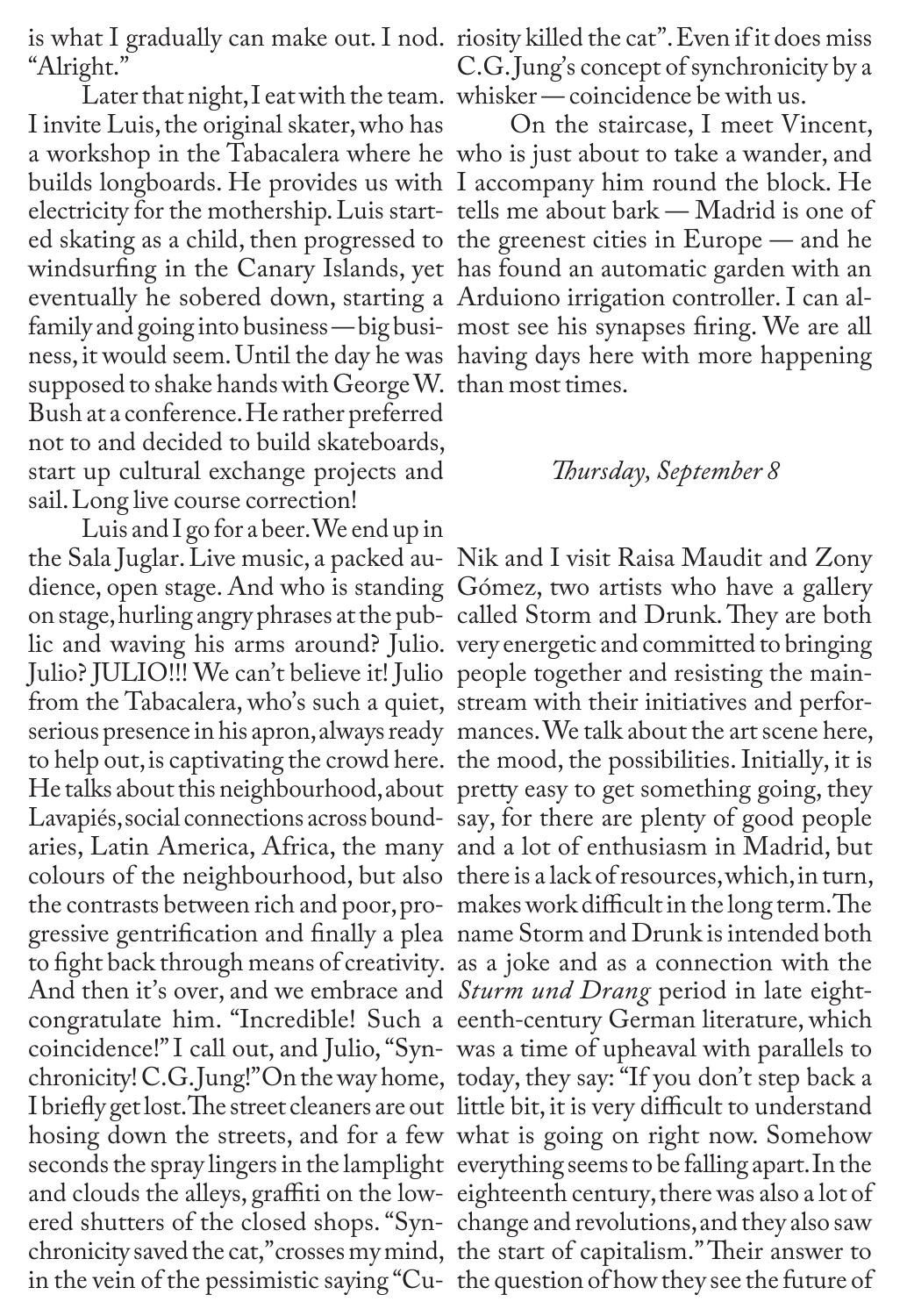"Alright."

Later that night,I eat with the team. whisker — coincidence be with us. I invite Luis, the original skater, who has builds longboards. He provides us with I accompany him round the block. He eventually he sobered down, starting a Arduiono irrigation controller. I can alfamily and going into business — big busi-most see his synapses firing. We are all ness, it would seem. Until the day he was having days here with more happening supposed to shake hands with George W. than most times. Bush at a conference. He rather preferred not to and decided to build skateboards, start up cultural exchange projects and sail. Long live course correction!

Luis and I go for a beer. We end up in dience, open stage. And who is standing Gómez, two artists who have a gallery Julio? JULIO!!! We can't believe it! Julio people together and resisting the mainfrom the Tabacalera, who's such a quiet, stream with their initiatives and perforto help out, is captivating the crowd here. the mood, the possibilities. Initially, it is colours of the neighbourhood, but also there is a lack of resources, which, in turn, gressive gentrification and finally a plea name Storm and Drunk is intended both to fight back through means of creativity. as a joke and as a connection with the And then it's over, and we embrace and *Sturm und Drang* period in late eight-I briefly get lost. The street cleaners are out little bit, it is very difficult to understand and clouds the alleys, graffiti on the low-eighteenth century, there was also a lot of

is what I gradually can make out. I nod. riosity killed the cat". Even if it does miss C.G.Jung's concept of synchronicity by a

a workshop in the Tabacalera where he who is just about to take a wander, and electricity for the mothership. Luis start-tells me about bark — Madrid is one of ed skating as a child, then progressed to the greenest cities in Europe — and he windsurfing in the Canary Islands, yet has found an automatic garden with an On the staircase, I meet Vincent,

#### *Thursday, September 8*

the Sala Juglar. Live music, a packed au-Nik and I visit Raisa Maudit and Zony on stage, hurling angry phrases at the pub-called Storm and Drunk. They are both lic and waving his arms around? Julio. very energetic and committed to bringing serious presence in his apron, always ready mances. We talk about the art scene here, He talks about this neighbourhood, about pretty easy to get something going, they Lavapiés, social connections across bound-say, for there are plenty of good people aries, Latin America, Africa, the many and a lot of enthusiasm in Madrid, but the contrasts between rich and poor, pro-makes work difficult in the long term. The congratulate him. "Incredible! Such a eenth-century German literature, which coincidence!" I call out, and Julio, "Syn-was a time of upheaval with parallels to chronicity!C.G.Jung!"On theway home, today, they say: "If you don't step back a hosing down the streets, and for a few what is going on right now. Somehow seconds the spray lingers in the lamplight everything seems to be falling apart. In the ered shutters of the closed shops. "Syn-change and revolutions, and they also saw chronicity saved the cat," crosses my mind, the start of capitalism." Their answer to in the vein of the pessimistic saying "Cu-the question of how they see the future of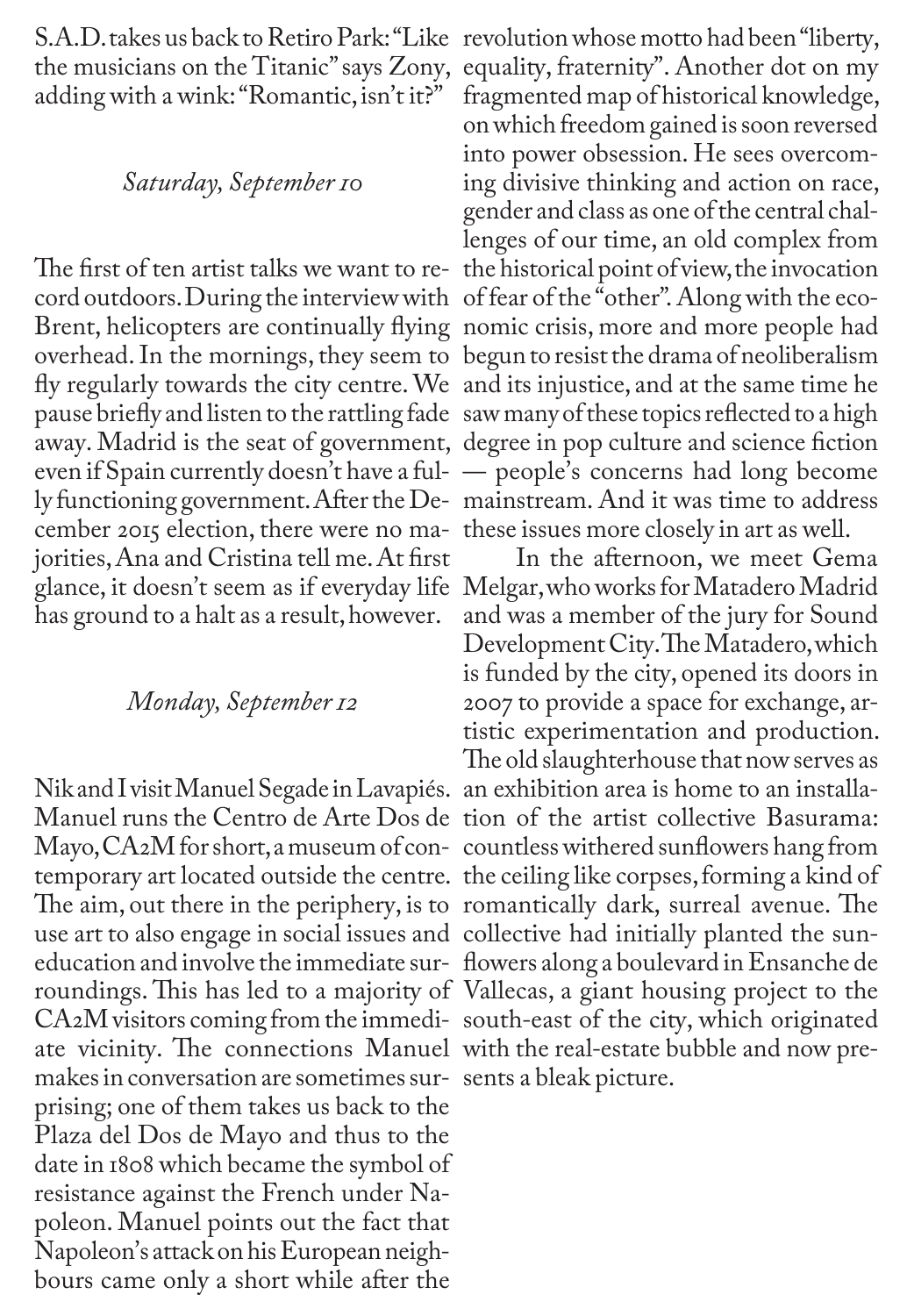S.A.D. takes us back to Retiro Park: "Like revolution whose motto had been "liberty, the musicians on the Titanic" says Zony, adding with a wink: "Romantic, isn't it?"

#### *Saturday, September10*

cord outdoors.During the interview with of fear of the "other". Along with the ecofly regularly towards the city centre. We and its injustice, and at the same time he pause briefly and listen to the rattling fade saw many of these topics reflected to a high cember 2015 election, there were no ma-these issues more closely in art as well. jorities, Ana and Cristina tell me. At first has ground to a halt as a result, however.

#### *Monday, September 12*

Nik and I visit Manuel Segade in Lavapiés. an exhibition area is home to an installa-Manuel runs the Centro de Arte Dos de tion of the artist collective Basurama: Mayo, CA2M for short, a museum of con-countless withered sunflowers hang from temporary art located outside the centre. the ceiling like corpses, forming a kind of The aim, out there in the periphery, is to romantically dark, surreal avenue. The use art to also engage in social issues and collective had initially planted the suneducation and involve the immediate sur-flowers along a boulevard in Ensanche de roundings. This has led to a majority of Vallecas, a giant housing project to the CA2M visitors coming from the immedi-south-east of the city, which originated ate vicinity. The connections Manuel with the real-estate bubble and now premakes in conversation are sometimes sur-sents a bleak picture.prising; one of them takes us back to the Plaza del Dos de Mayo and thus to the date in 1808 which became the symbol of resistance against the French under Napoleon. Manuel points out the fact that Napoleon's attack on his European neighbours came only a short while after the

The first of ten artist talks we want to re-the historical point of view, the invocation Brent, helicopters are continually flying nomic crisis, more and more people had overhead. In the mornings, they seem to begun to resist the drama of neoliberalism away. Madrid is the seat of government, degree in pop culture and science fiction even if Spain currently doesn't have a ful-— people's concerns had long become ly functioning government. After the De-mainstream. And it was time to address equality, fraternity". Another dot on my fragmented map of historical knowledge, on which freedom gained is soon reversed into power obsession. He sees overcoming divisive thinking and action on race, gender and class as one of the central challenges of our time, an old complex from

glance, it doesn't seem as if everyday life Melgar, who works for Matadero Madrid In the afternoon, we meet Gema and was a member of the jury for Sound Development City. The Matadero, which is funded by the city, opened its doors in 2007 to provide a space for exchange, artistic experimentation and production. The old slaughterhouse that now serves as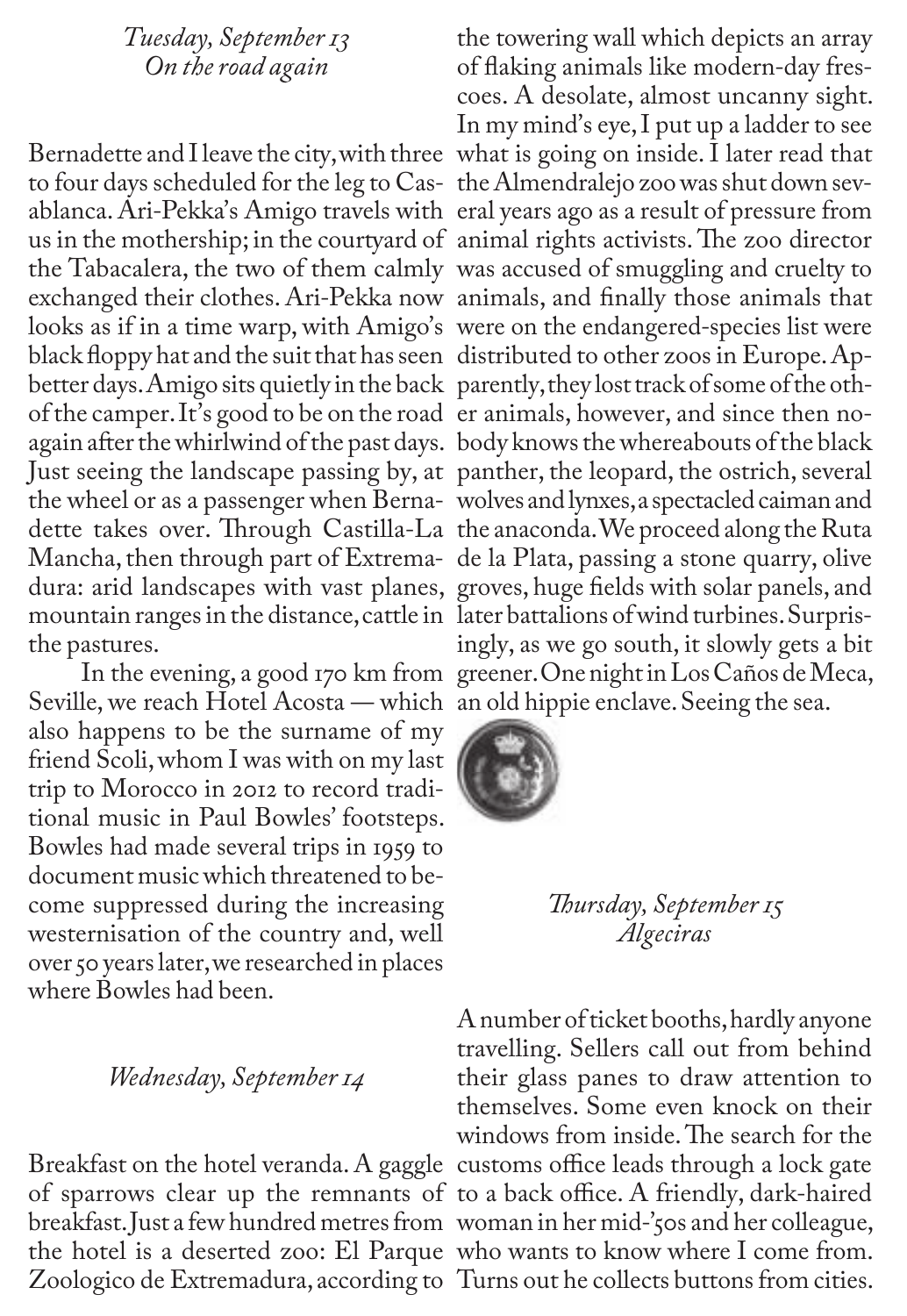### *Tuesday, September13 On theroad again*

Bernadette and I leave the city, with three what is going on inside. I later read that to four days scheduled for the leg to Cas-the Almendralejo zoo was shut down sevablanca. Ari-Pekka's Amigo travels with eral years ago as a result of pressure from us in the mothership; in the courtyard of animal rights activists. The zoo director the Tabacalera, the two of them calmly was accused of smuggling and cruelty to exchanged their clothes. Ari-Pekka now animals, and finally those animals that looks as if in a time warp, with Amigo's were on the endangered-species list were black floppy hat and the suit that has seen distributed to other zoos in Europe. Apbetter days. Amigo sits quietly in the back parently, they lost track of some of the othof the camper. It's good to be on the road er animals, however, and since then noagain after the whirlwind of the past days. body knows the whereabouts of the black Just seeing the landscape passing by, at panther, the leopard, the ostrich, several the wheel or as a passenger when Berna-wolves and lynxes, a spectacled caiman and dette takes over. Through Castilla-La the anaconda. We proceed along the Ruta Mancha, then through part of Extrema-de la Plata, passing a stone quarry, olive dura: arid landscapes with vast planes, groves, huge fields with solar panels, and mountain ranges in the distance, cattle in later battalions of wind turbines. Surpristhe pastures.

Seville, we reach Hotel Acosta — which an old hippie enclave. Seeing the sea. also happens to be the surname of my friend Scoli, whom I was with on my last trip to Morocco in 2012 to record traditional music in Paul Bowles' footsteps. Bowles had made several trips in 1959 to document music which threatened to become suppressed during the increasing westernisation of the country and, well over 50 years later, we researched in places where Bowles had been.

## *Wednesday, September 14*

Breakfast on the hotel veranda. A gaggle customs office leads through a lock gate of sparrows clear up the remnants of to a back office. A friendly, dark-haired breakfast. Just a few hundred metres from woman in her mid-'50s and her colleague, the hotel is a deserted zoo: El Parque who wants to know where I come from. Zoologico de Extremadura, according to Turns out he collects buttons from cities.

 In the evening, a good 170 km from greener. One night in Los Caños de Meca, the towering wall which depicts an array of flaking animals like modern-day frescoes. A desolate, almost uncanny sight. In my mind's eye, I put up a ladder to see ingly, as we go south, it slowly gets a bit



*Th ursday, September15 Algeciras*

A number of ticket booths, hardly anyone travelling. Sellers call out from behind their glass panes to draw attention to themselves. Some even knock on their windows from inside. The search for the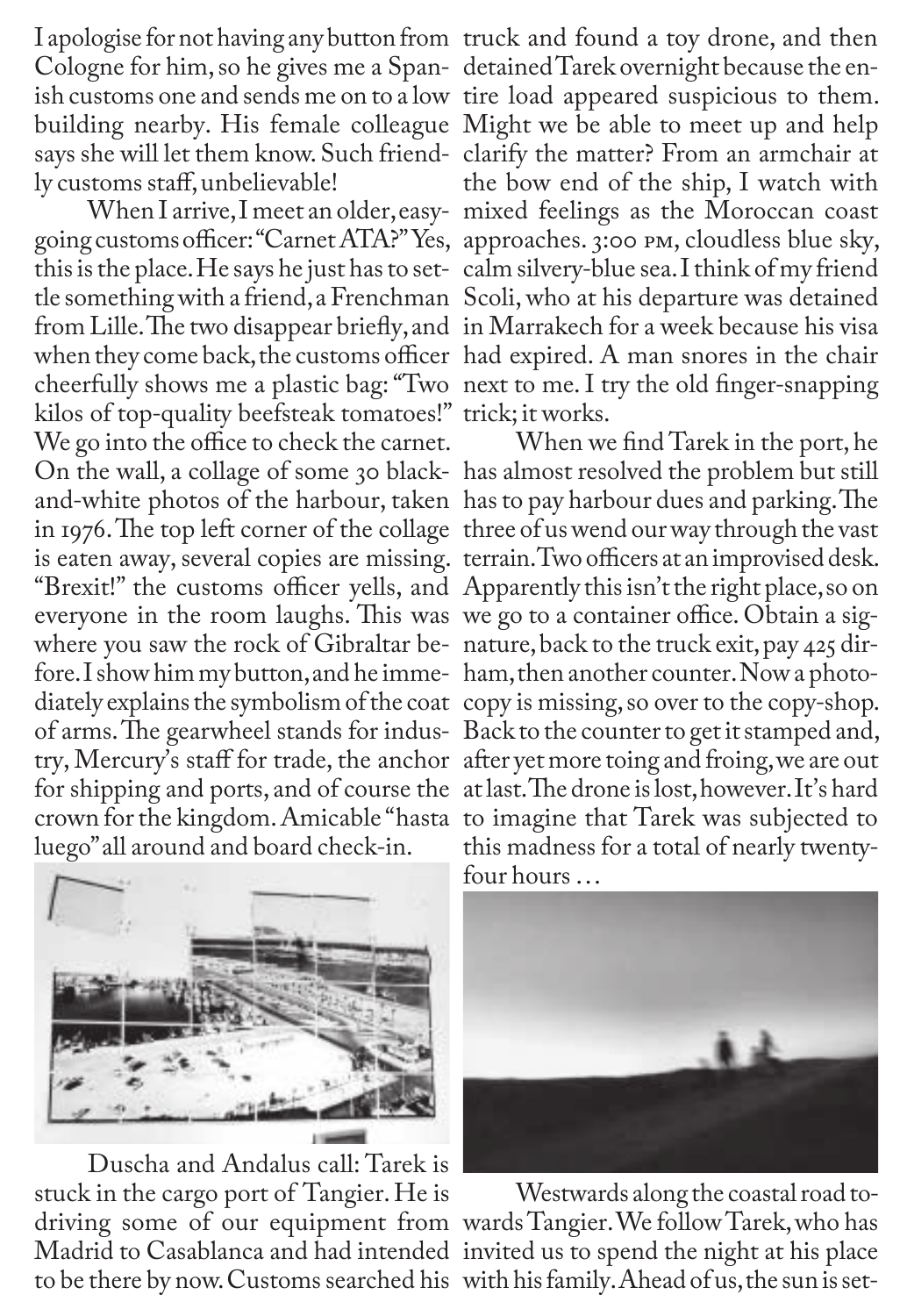ly customs staff, unbelievable!

going customs officer: "Carnet ATA?" Yes, approaches. 3:00 pm, cloudless blue sky, this is the place. He says he just has to set-calm silvery-blue sea. I think of my friend tle somethingwith a friend,a Frenchman Scoli, who at his departure was detained from Lille. The two disappear briefly, and in Marrakech for a week because his visa cheerfully shows me a plastic bag: "Two next to me. I try the old finger-snapping kilos of top-quality beefsteak tomatoes!" trick; it works. We go into the office to check the carnet. On the wall, a collage of some 30 black-has almost resolved the problem but still and-white photos of the harbour, taken has to pay harbour dues and parking. The everyone in the room laughs. This was we go to a container office. Obtain a sigwhere you saw the rock of Gibraltar be-nature, back to the truck exit, pay 425 dirfore. I show him my button, and he imme-ham, then another counter. Now a photoof arms. The gearwheel stands for indus-Back to the counter to get it stamped and, crown for the kingdom. Amicable "hasta to imagine that Tarek was subjected to luego" all around and board check-in.

I apologise for not having any button from truck and found a toy drone, and then Cologne for him, so he gives me a Span-detained Tarek overnight because the enish customs one and sends me on to a low tire load appeared suspicious to them. building nearby. His female colleague Might we be able to meet up and help says she will let them know. Such friend-clarify the matter? From an armchair at When I arrive, I meet an older, easy-mixed feelings as the Moroccan coast when they come back, the customs officer had expired. A man snores in the chair the bow end of the ship, I watch with

in 1976. The top left corner of the collage three of us wend our way through the vast is eaten away, several copies are missing. terrain. Two officers at an improvised desk. "Brexit!" the customs officer yells, and Apparently this isn't the right place, so on diately explains the symbolism of the coat copy is missing,so over to the copy-shop. try, Mercury's staff for trade, the anchor after yet more toing and froing, we are out for shipping and ports, and of course the at last. The drone is lost, however. It's hard When we find Tarek in the port, he this madness for a total of nearly twentyfour hours …



Duscha and Andalus call: Tarek is stuck in the cargo port of Tangier. He is to be there by now. Customs searched his with his family. Ahead of us, the sun is set-



driving some of our equipment from wardsTangier. We followTarek, who has Madrid to Casablanca and had intended invited us to spend the night at his place Westwards along the coastal road to-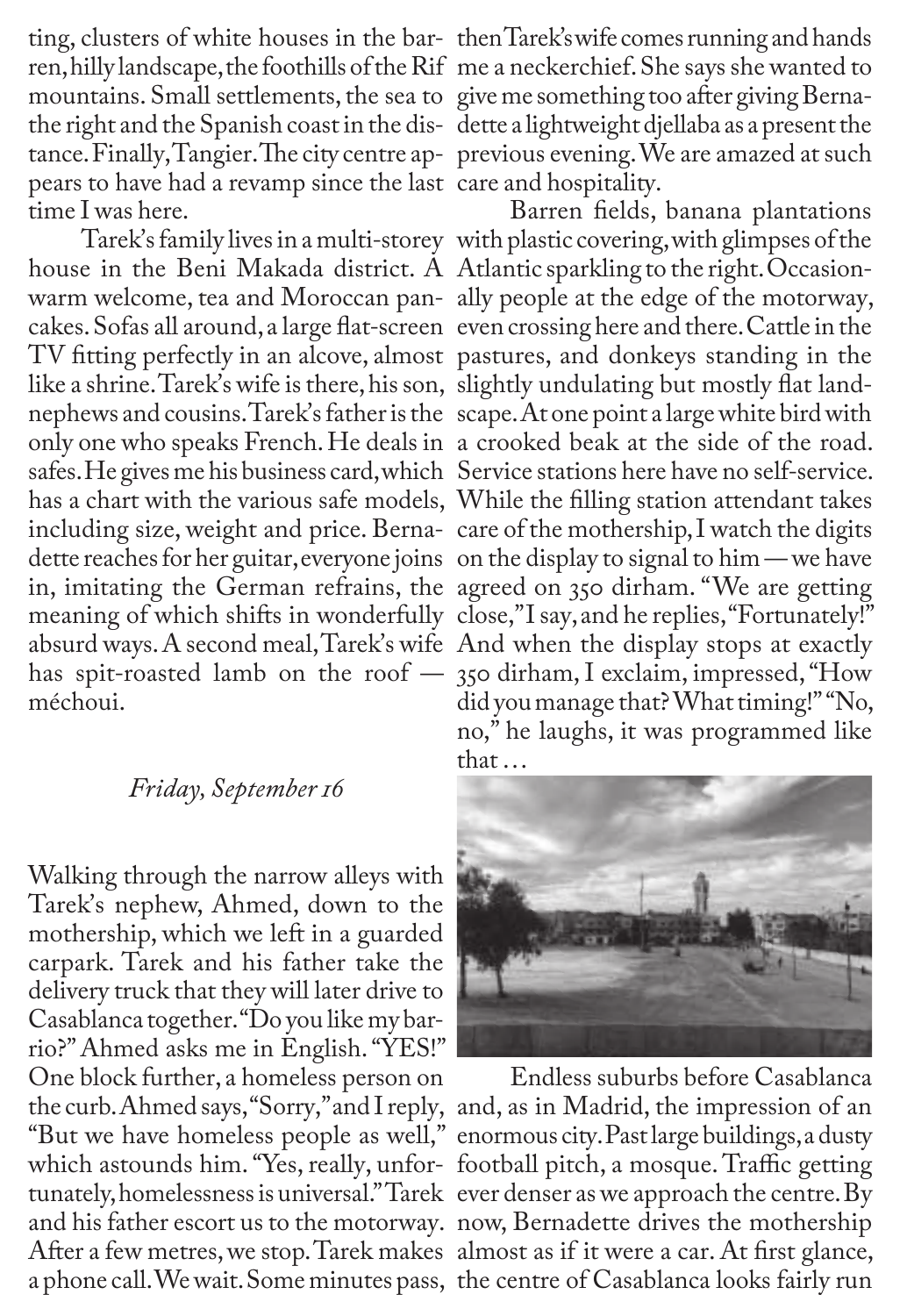ting, clusters of white houses in the bar-then Tarek's wife comes running and hands ren, hilly landscape, the foothills of the Rif me a neckerchief.She saysshe wanted to mountains. Small settlements, the sea to give me something too after giving Bernathe right and the Spanish coast in the dis-dette a lightweight djellaba as a present the pears to have had a revamp since the last care and hospitality. time I was here.

house in the Beni Makada district. A Atlantic sparkling to the right. Occasioncakes. Sofas all around, a large flat-screen even crossing here and there. Cattle in the like a shrine. Tarek's wife is there, his son, slightly undulating but mostly flat landhas a chart with the various safe models, While the filling station attendant takes including size, weight and price. Berna-care of the mothership, I watch the digits absurd ways. A second meal, Tarek's wife And when the display stops at exactly méchoui.

## *Friday, September 16*

Walking through the narrow alleys with Tarek's nephew, Ahmed, down to the mothership, which we left in a guarded carpark. Tarek and his father take the delivery truck that they will later drive to Casablanca together. "Do you like my barrio?" Ahmed asks me in English. "YES!" One block further, a homeless person on the curb. Ahmed says, "Sorry," and I reply, and, as in Madrid, the impression of an "But we have homeless people as well," enormous city. Past large buildings, a dusty which astounds him. "Yes, really, unfor-football pitch, a mosque. Traffic getting tunately, homelessness is universal." Tarek ever denser as we approach the centre. By and his father escort us to the motorway. now, Bernadette drives the mothership After a few metres, we stop. Tarek makes almost as if it were a car. At first glance, a phone call. We wait. Some minutes pass, the centre of Casablanca looks fairly run

tance. Finally, Tangier. The city centre ap-previous evening. We are amazed at such

Tarek's family lives in a multi-storey with plastic covering, with glimpses of the warm welcome, tea and Moroccan pan-ally people at the edge of the motorway, TV fitting perfectly in an alcove, almost pastures, and donkeys standing in the nephews and cousins. Tarek's father is the scape. At one point a large white bird with only one who speaks French. He deals in a crooked beak at the side of the road. safes. He gives me his business card, which Service stations here have no self-service. dette reaches for her guitar,everyone joins on the display to signal to him — we have in, imitating the German refrains, the agreed on 350 dirham. "We are getting meaning of which shifts in wonderfully close," I say, and he replies, "Fortunately!" has spit-roasted lamb on the roof — 350 dirham, I exclaim, impressed, "How Barren fields, banana plantations did you manage that? What timing!" "No, no," he laughs, it was programmed like that …



Endless suburbs before Casablanca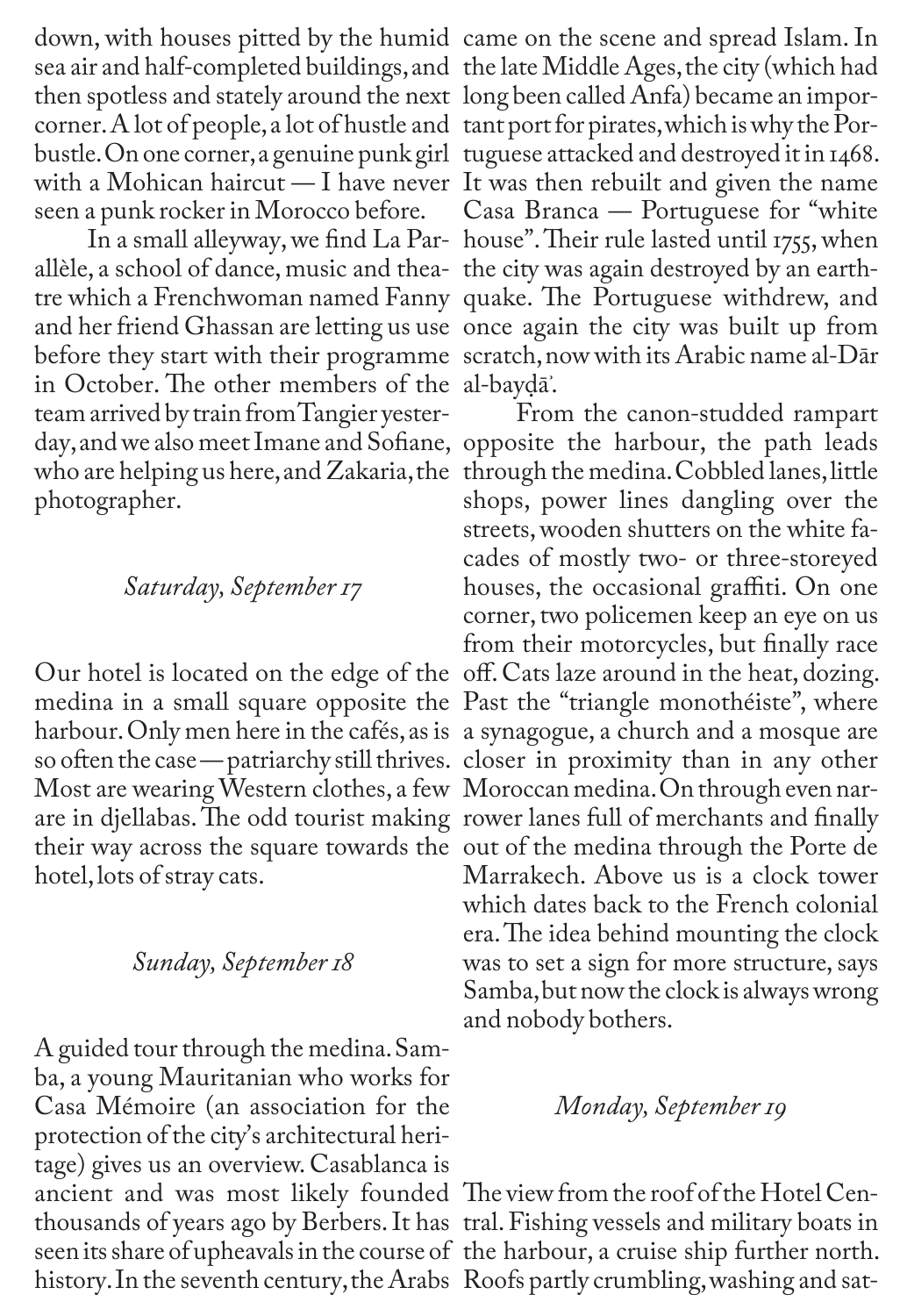down, with houses pitted by the humid came on the scene and spread Islam. In

allèle, a school of dance, music and thea-the city was again destroyed by an earthtre which a Frenchwoman named Fanny quake. The Portuguese withdrew, and before they start with their programme scratch, now with its Arabic name al-Dār in October. The other members of the al-bayḍāʾ. team arrived by train from Tangier yesterwho are helping us here, and Zakaria, the through the medina. Cobbled lanes, little photographer.

#### *Saturday, September17*

Most are wearing Western clothes, a few Moroccan medina. On through even narare in djellabas. The odd tourist making rower lanes full of merchants and finally hotel, lots of stray cats.

## *Sunday, September 18*

A guided tour through the medina. Samba, a young Mauritanian who works for Casa Mémoire (an association for the protection of the city's architectural heritage) gives us an overview. Casablanca is ancient and was most likely founded The view from the roof of the Hotel Centhousands of years ago by Berbers. It has tral. Fishing vessels and military boats in seen its share of upheavals in the course of the harbour, a cruise ship further north.

sea air and half-completed buildings, and the late Middle Ages, the city (which had then spotless and stately around the next long been called Anfa) became an imporcorner.A lot of people, a lot of hustle and tant port for pirates, which is why the Porbustle. On one corner, a genuine punk girl tuguese attacked and destroyed it in 1468. with a Mohican haircut — I have never It was then rebuilt and given the name seen a punk rocker in Morocco before. Casa Branca — Portuguese for "white In a small alleyway, we find La Par-house". Their rule lasted until 1755, when and her friend Ghassan are letting us use once again the city was built up from

day, and we also meet Imane and Sofiane, opposite the harbour, the path leads Our hotel is located on the edge of the off. Cats laze around in the heat, dozing. medina in a small square opposite the Past the "triangle monothéiste", where harbour. Only men here in the cafés, as is a synagogue, a church and a mosque are so often the case — patriarchy still thrives. closer in proximity than in any other their way across the square towards the out of the medina through the Porte de From the canon-studded rampart shops, power lines dangling over the streets, wooden shutters on the white facades of mostly two- or three-storeyed houses, the occasional graffiti. On one corner, two policemen keep an eye on us from their motorcycles, but finally race Marrakech. Above us is a clock tower which dates back to the French colonial era. The idea behind mounting the clock was to set a sign for more structure, says Samba, but now the clock is always wrong and nobody bothers.

#### *Monday, September 19*

history. In the seventh century, the Arabs Roofs partly crumbling, washing and sat-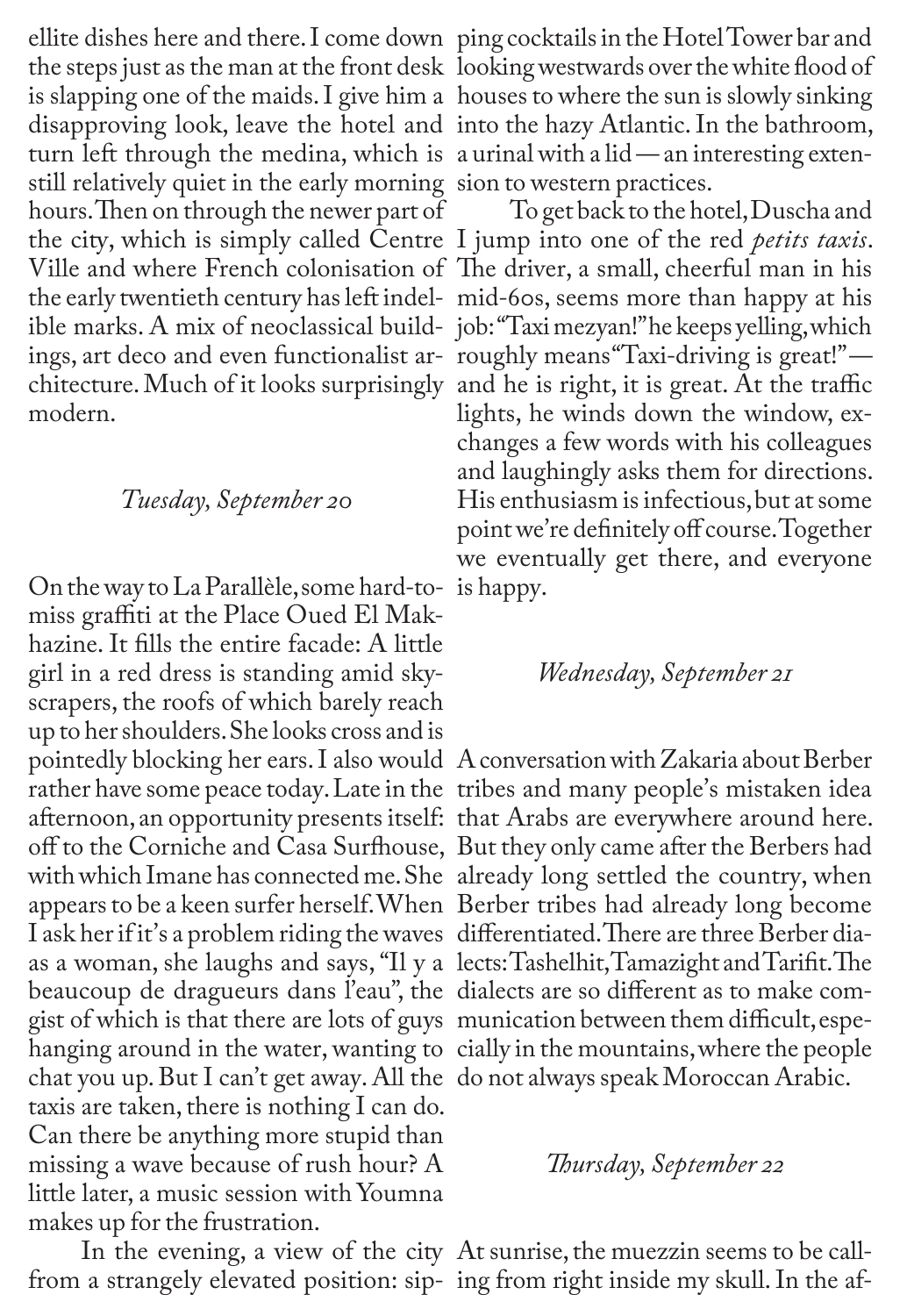ellite dishes here and there. I come down ping cocktails in the Hotel Tower bar and the steps just as the man at the front desk looking westwards over the white flood of is slapping one of the maids. I give him a houses to where the sun is slowly sinking disapproving look, leave the hotel and into the hazy Atlantic. In the bathroom, turn left through the medina, which is a urinal with a lid — an interesting extenstill relatively quiet in the early morning sion to western practices. hours. Then on through the newer part of To get back to the hotel,Duscha and the city, which is simply called Centre I jump into one of the red *petits taxis*. Ville and where French colonisation of The driver, a small, cheerful man in his the early twentieth century has left indel-mid-60s, seems more than happy at his ible marks. A mix of neoclassical build-job: "Taxi mezyan!" he keeps yelling, which ings, art deco and even functionalist ar-roughly means "Taxi-driving is great!" chitecture. Much of it looks surprisingly and he is right, it is great. At the traffic modern.

# *Tuesday, September 20*

On the way to La Parallèle, some hard-tomiss graffiti at the Place Oued El Makhazine. It fills the entire facade: A little girl in a red dress is standing amid skyscrapers, the roofs of which barely reach up to her shoulders. She looks cross and is I ask her if it's a problem riding the waves differentiated. There are three Berber diabeaucoup de dragueurs dans l'eau", the dialects are so different as to make comgist of which is that there are lots of guys munication between them difficult, espehanging around in the water, wanting to cially in the mountains, where the people chat you up. But I can't get away. All the do not always speak Moroccan Arabic. taxis are taken, there is nothing I can do. Can there be anything more stupid than missing a wave because of rush hour? A little later, a music session with Youmna makes up for the frustration.

from a strangely elevated position: sip-ing from right inside my skull. In the af-

lights, he winds down the window, exchanges a few words with his colleagues and laughingly asks them for directions. His enthusiasm is infectious, but at some point we're definitely off course. Together we eventually get there, and everyone is happy.

#### *Wednesday, September 21*

pointedly blocking her ears. I also would A conversation with Zakaria about Berber rather have some peace today. Late in the tribes and many people's mistaken idea afternoon, an opportunity presents itself: that Arabs are everywhere around here. off to the Corniche and Casa Surfhouse, But they only came after the Berbers had with which Imane has connected me. She already long settled the country, when appears to be a keen surfer herself. When Berber tribes had already long become as a woman, she laughs and says, "Il y a lects: Tashelhit, Tamazight and Tarifit. The

#### *Thursday, September 22*

In the evening, a view of the city At sunrise, the muezzin seems to be call-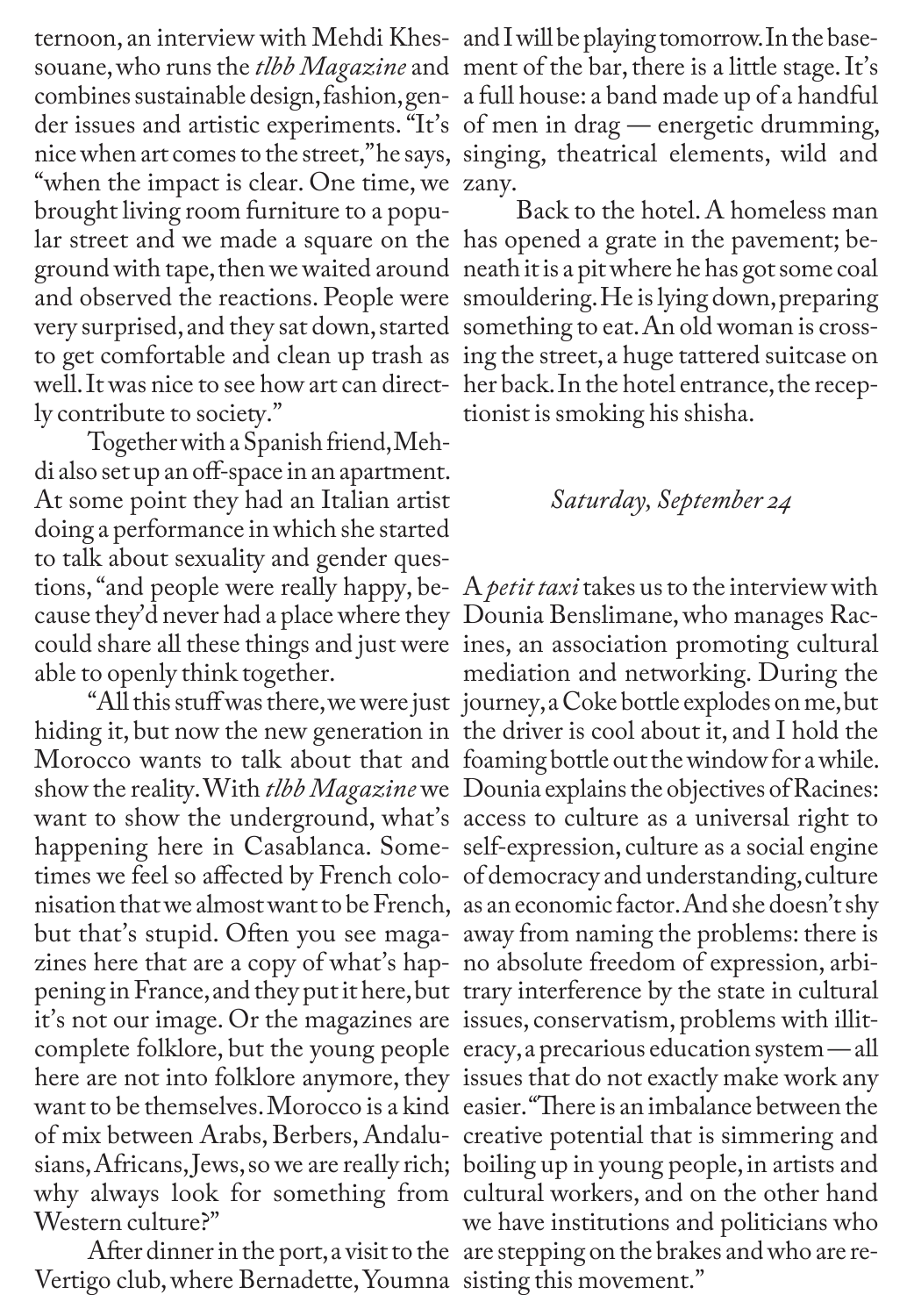ternoon, an interview with Mehdi Khes-and I will be playing tomorrow. In the basesouane, who runs the *tlbb Magazine* and ment of the bar, there is a little stage. It's combines sustainable design,fashion, gen-a full house: a band made up of a handful der issues and artistic experiments. "It's of men in drag — energetic drumming, nice when art comes to the street," he says, singing, theatrical elements, wild and "when the impact is clear. One time, we zany. brought living room furniture to a popular street and we made a square on the has opened a grate in the pavement; bevery surprised, and they sat down, started something to eat. An old woman is crosswell.It was nice to see how art can direct-her back. In the hotel entrance, the receply contribute to society."

Together with a Spanish friend, Mehdi also set up an off-space in an apartment. At some point they had an Italian artist doing a performance in which she started to talk about sexuality and gender questions, "and people were really happy, be-A *petit taxi* takes us to the interview with cause they'd never had a place where they Dounia Benslimane, who manages Racable to openly think together.

hiding it, but now the new generation in the driver is cool about it, and I hold the want to show the underground, what's access to culture as a universal right to happening here in Casablanca. Some-self-expression, culture as a social engine times we feel so affected by French colo-of democracy and understanding, culture zines here that are a copy of what's hap-no absolute freedom of expression, arbipening in France, and they put it here, but trary interference by the state in cultural it's not our image. Or the magazines are issues, conservatism, problems with illithere are not into folklore anymore, they issues that do not exactly make work any sians, Africans, Jews, so we are really rich; boiling up in young people, in artists and why always look for something from cultural workers, and on the other hand Western culture?"

Vertigo club, where Bernadette, Youmna sisting this movement."

ground with tape, then we waited around neath it is a pit where he has got some coal and observed the reactions. People were smouldering. He is lying down, preparing to get comfortable and clean up trash as ing the street, a huge tattered suitcase on Back to the hotel. A homeless man tionist is smoking his shisha.

## *Saturday, September 24*

could share all these things and just were ines, an association promoting cultural "All this stuff was there, we were just journey, a Coke bottle explodes on me, but Morocco wants to talk about that and foaming bottle out the window for a while. show the reality. With *tlbb Magazine* we Dounia explains the objectives of Racines: nisation that we almost want to be French, as an economic factor. And she doesn't shy but that's stupid. Often you see maga-away from naming the problems: there is complete folklore, but the young people eracy, a precarious education system — all want to be themselves.Morocco is a kind easier. "There is an imbalance between the of mix between Arabs, Berbers, Andalu-creative potential that is simmering and After dinner in the port, a visit to the are stepping on the brakes and who are remediation and networking. During the we have institutions and politicians who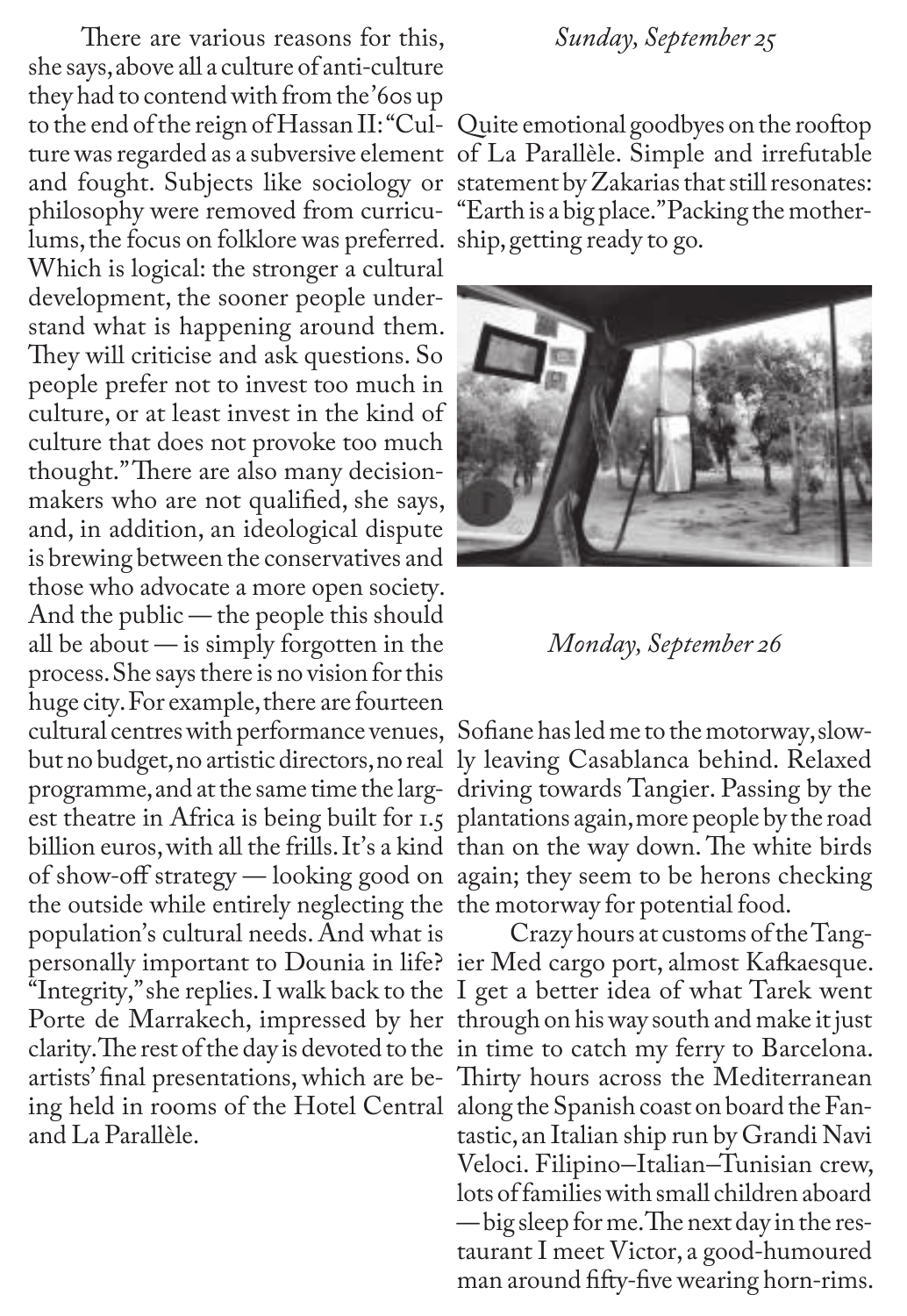There are various reasons for this, she says, above all a culture of anti-culture they had to contend with from the '60s up to the end of the reign of Hassan II: "Cul-Quite emotional goodbyes on the rooftop ture was regarded as a subversive element of La Parallèle. Simple and irrefutable philosophy were removed from curricu-"Earth is a big place." Packing the motherlums, the focus on folklore was preferred. ship, getting ready to go. Which is logical: the stronger a cultural development, the sooner people understand what is happening around them. They will criticise and ask questions. So people prefer not to invest too much in culture, or at least invest in the kind of culture that does not provoke too much thought." There are also many decisionmakers who are not qualified, she says, and, in addition, an ideological dispute is brewing between the conservatives and those who advocate a more open society. And the public — the people this should all be about — is simply forgotten in the process. She says there is no vision for this huge city. For example, there are fourteen cultural centres with performance venues, Sofiane has led me to the motorway, slowbillion euros, with all the frills. It's a kind than on the way down. The white birds of show-off strategy — looking good on again; they seem to be herons checking the outside while entirely neglecting the the motorway for potential food. population's cultural needs. And what is artists' final presentations, which are be-Thirty hours across the Mediterranean ing held in rooms of the Hotel Central along the Spanish coast on board the Fanand La Parallèle.

## *Sunday, September 25*

and fought. Subjects like sociology or statement by Zakarias that still resonates:



*Monday, September 26*

but no budget, no artistic directors, no real ly leaving Casablanca behind. Relaxed programme, and at the same time the larg-driving towards Tangier. Passing by the est theatre in Africa is being built for 1.5 plantations again, more people by the road

personally important to Dounia in life? ier Med cargo port, almost Kafkaesque. "Integrity," she replies. I walk back to the I get a better idea of what Tarek went Porte de Marrakech, impressed by her through on his way south and make it just clarity. The rest of the day is devoted to the in time to catch my ferry to Barcelona. Crazy hours at customs of the Tangtastic, an Italian ship run by Grandi Navi Veloci. Filipino–Italian–Tunisian crew, lots of families with small children aboard — big sleep for me. The next day in the restaurant I meet Victor, a good-humoured man around fifty-five wearing horn-rims.